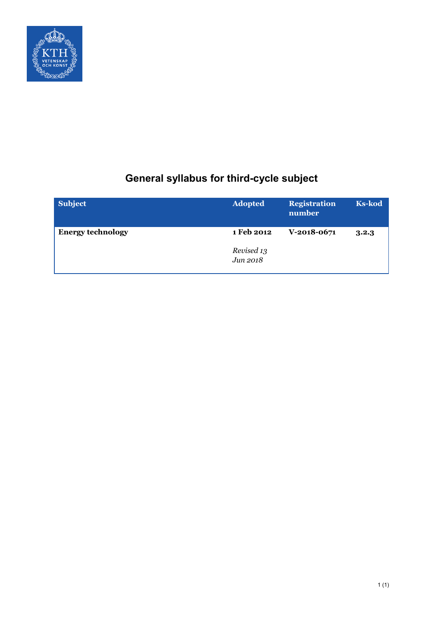

# **General syllabus for third-cycle subject**

| <b>Subject</b>           | <b>Adopted</b>         | <b>Registration</b><br>number | <b>Ks-kod</b> |
|--------------------------|------------------------|-------------------------------|---------------|
| <b>Energy technology</b> | 1 Feb 2012             | $V-2018-0671$                 | 3.2.3         |
|                          | Revised 13<br>Jun 2018 |                               |               |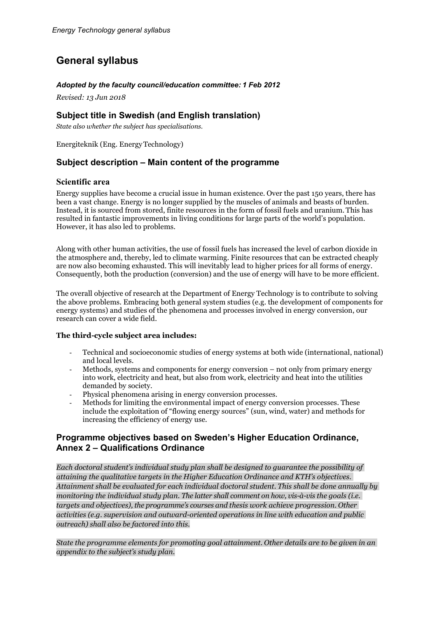# **General syllabus**

## *Adopted by the faculty council/education committee: 1 Feb 2012*

*Revised: 13 Jun 2018*

# **Subject title in Swedish (and English translation)**

*State also whether the subject has specialisations.*

Energiteknik (Eng. EnergyTechnology)

# **Subject description – Main content of the programme**

## **Scientific area**

Energy supplies have become a crucial issue in human existence. Over the past 150 years, there has been a vast change. Energy is no longer supplied by the muscles of animals and beasts of burden. Instead, it is sourced from stored, finite resources in the form of fossil fuels and uranium. This has resulted in fantastic improvements in living conditions for large parts of the world's population. However, it has also led to problems.

Along with other human activities, the use of fossil fuels has increased the level of carbon dioxide in the atmosphere and, thereby, led to climate warming. Finite resources that can be extracted cheaply are now also becoming exhausted. This will inevitably lead to higher prices for all forms of energy. Consequently, both the production (conversion) and the use of energy will have to be more efficient.

The overall objective of research at the Department of Energy Technology is to contribute to solving the above problems. Embracing both general system studies (e.g. the development of components for energy systems) and studies of the phenomena and processes involved in energy conversion, our research can cover a wide field.

#### **The third-cycle subject area includes:**

- Technical and socioeconomic studies of energy systems at both wide (international, national) and local levels.
- Methods, systems and components for energy conversion not only from primary energy into work, electricity and heat, but also from work, electricity and heat into the utilities demanded by society.
- Physical phenomena arising in energy conversion processes.
- Methods for limiting the environmental impact of energy conversion processes. These include the exploitation of "flowing energy sources" (sun, wind, water) and methods for increasing the efficiency of energy use.

# **Programme objectives based on Sweden's Higher Education Ordinance, Annex 2 – Qualifications Ordinance**

*Each doctoral student's individual study plan shall be designed to guarantee the possibility of attaining the qualitative targets in the Higher Education Ordinance and KTH's objectives. Attainment shall be evaluated for each individual doctoral student. This shall be done annually by monitoring the individual study plan. The latter shall comment on how, vis-à-vis the goals (i.e. targets and objectives), the programme's courses and thesis work achieve progression. Other activities (e.g. supervision and outward-oriented operations in line with education and public outreach) shall also be factored into this.*

*State the programme elements for promoting goal attainment. Other details are to be given in an appendix to the subject's study plan.*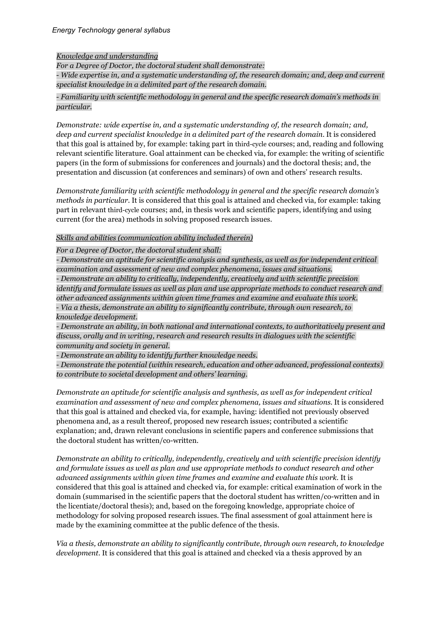#### *Knowledge and understanding*

*For a Degree of Doctor, the doctoral student shall demonstrate:* - *Wide expertise in, and a systematic understanding of, the research domain; and, deep and current specialist knowledge in a delimited part of the research domain.*

#### - *Familiarity with scientific methodology in general and the specific research domain's methods in particular.*

*Demonstrate: wide expertise in, and a systematic understanding of, the research domain; and, deep and current specialist knowledge in a delimited part of the research domain*. It is considered that this goal is attained by, for example: taking part in third-cycle courses; and, reading and following relevant scientific literature. Goal attainment can be checked via, for example: the writing of scientific papers (in the form of submissions for conferences and journals) and the doctoral thesis; and, the presentation and discussion (at conferences and seminars) of own and others' research results.

*Demonstrate familiarity with scientific methodology in general and the specific research domain's methods in particular.* It is considered that this goal is attained and checked via, for example: taking part in relevant third-cycle courses; and, in thesis work and scientific papers, identifying and using current (for the area) methods in solving proposed research issues.

## *Skills and abilities (communication ability included therein)*

*For a Degree of Doctor, the doctoral student shall:*

- *Demonstrate an aptitude for scientific analysis and synthesis, as well as for independent critical examination and assessment of new and complex phenomena, issues and situations.* - *Demonstrate an ability to critically, independently, creatively and with scientific precision identify and formulate issues as well as plan and use appropriate methods to conduct research and other advanced assignments within given time frames and examine and evaluate this work.*

- *Via a thesis, demonstrate an ability to significantly contribute, through own research, to knowledge development.*

- *Demonstrate an ability, in both national and international contexts, to authoritatively present and discuss, orally and in writing, research and research results in dialogues with the scientific community and society in general.*

- *Demonstrate an ability to identify further knowledge needs.*

- *Demonstrate the potential (within research, education and other advanced, professional contexts) to contribute to societal development and others' learning.*

*Demonstrate an aptitude for scientific analysis and synthesis, as well as for independent critical examination and assessment of new and complex phenomena, issues and situations.* It is considered that this goal is attained and checked via, for example, having: identified not previously observed phenomena and, as a result thereof, proposed new research issues; contributed a scientific explanation; and, drawn relevant conclusions in scientific papers and conference submissions that the doctoral student has written/co-written.

*Demonstrate an ability to critically, independently, creatively and with scientific precision identify and formulate issues as well as plan and use appropriate methods to conduct research and other advanced assignments within given time frames and examine and evaluate this work.* It is considered that this goal is attained and checked via, for example: critical examination of work in the domain (summarised in the scientific papers that the doctoral student has written/co-written and in the licentiate/doctoral thesis); and, based on the foregoing knowledge, appropriate choice of methodology for solving proposed research issues. The final assessment of goal attainment here is made by the examining committee at the public defence of the thesis.

*Via a thesis, demonstrate an ability to significantly contribute, through own research, to knowledge development.* It is considered that this goal is attained and checked via a thesis approved by an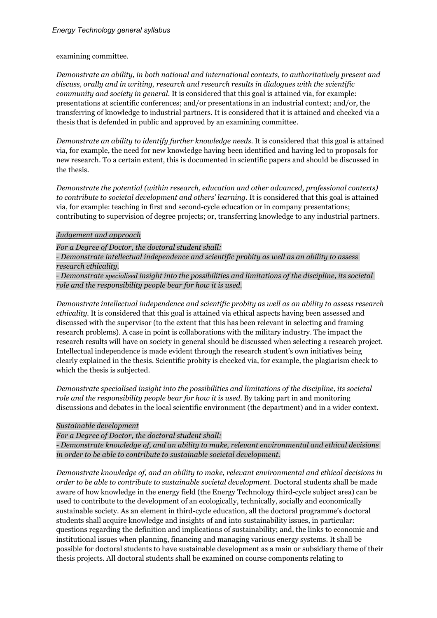examining committee.

*Demonstrate an ability, in both national and international contexts, to authoritatively present and discuss, orally and in writing, research and research results in dialogues with the scientific community and society in general.* It is considered that this goal is attained via, for example: presentations at scientific conferences; and/or presentations in an industrial context; and/or, the transferring of knowledge to industrial partners. It is considered that it is attained and checked via a thesis that is defended in public and approved by an examining committee.

*Demonstrate an ability to identify further knowledge needs.* It is considered that this goal is attained via, for example, the need for new knowledge having been identified and having led to proposals for new research. To a certain extent, this is documented in scientific papers and should be discussed in the thesis.

*Demonstrate the potential (within research, education and other advanced, professional contexts) to contribute to societal development and others' learning.* It is considered that this goal is attained via, for example: teaching in first and second-cycle education or in company presentations; contributing to supervision of degree projects; or, transferring knowledge to any industrial partners.

## *Judgement and approach*

*For a Degree of Doctor, the doctoral student shall:*

- *Demonstrate intellectual independence and scientific probity as well as an ability to assess research ethicality.*

- *Demonstrate specialised insight into the possibilities and limitations of the discipline, its societal role and the responsibility people bear for how it is used.*

*Demonstrate intellectual independence and scientific probity as well as an ability to assess research ethicality.* It is considered that this goal is attained via ethical aspects having been assessed and discussed with the supervisor (to the extent that this has been relevant in selecting and framing research problems). A case in point is collaborations with the military industry. The impact the research results will have on society in general should be discussed when selecting a research project. Intellectual independence is made evident through the research student's own initiatives being clearly explained in the thesis. Scientific probity is checked via, for example, the plagiarism check to which the thesis is subjected.

*Demonstrate specialised insight into the possibilities and limitations of the discipline, its societal role and the responsibility people bear for how it is used.* By taking part in and monitoring discussions and debates in the local scientific environment (the department) and in a wider context.

## *Sustainable development*

*For a Degree of Doctor, the doctoral student shall:*

*- Demonstrate knowledge of, and an ability to make, relevant environmental and ethical decisions in order to be able to contribute to sustainable societal development.*

*Demonstrate knowledge of, and an ability to make, relevant environmental and ethical decisions in order to be able to contribute to sustainable societal development.* Doctoral students shall be made aware of how knowledge in the energy field (the Energy Technology third-cycle subject area) can be used to contribute to the development of an ecologically, technically, socially and economically sustainable society. As an element in third-cycle education, all the doctoral programme's doctoral students shall acquire knowledge and insights of and into sustainability issues, in particular: questions regarding the definition and implications of sustainability; and, the links to economic and institutional issues when planning, financing and managing various energy systems. It shall be possible for doctoral students to have sustainable development as a main or subsidiary theme of their thesis projects. All doctoral students shall be examined on course components relating to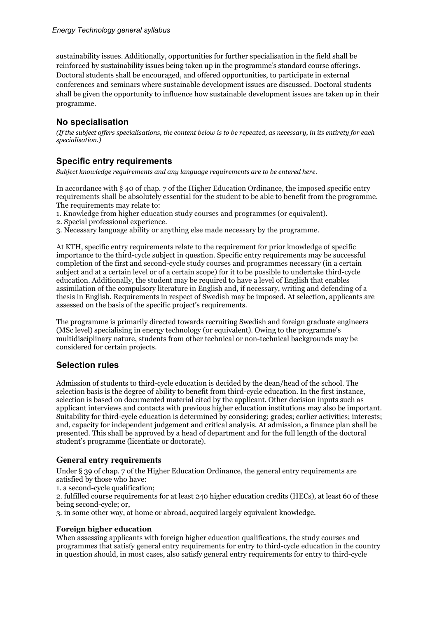sustainability issues. Additionally, opportunities for further specialisation in the field shall be reinforced by sustainability issues being taken up in the programme's standard course offerings. Doctoral students shall be encouraged, and offered opportunities, to participate in external conferences and seminars where sustainable development issues are discussed. Doctoral students shall be given the opportunity to influence how sustainable development issues are taken up in their programme.

# **No specialisation**

*(If the subject offers specialisations, the content below is to be repeated, as necessary, in its entirety for each specialisation.)*

# **Specific entry requirements**

*Subject knowledge requirements and any language requirements are to be entered here.*

In accordance with § 40 of chap. 7 of the Higher Education Ordinance, the imposed specific entry requirements shall be absolutely essential for the student to be able to benefit from the programme. The requirements may relate to:

1. Knowledge from higher education study courses and programmes (or equivalent).

2. Special professional experience.

3. Necessary language ability or anything else made necessary by the programme.

At KTH, specific entry requirements relate to the requirement for prior knowledge of specific importance to the third-cycle subject in question. Specific entry requirements may be successful completion of the first and second-cycle study courses and programmes necessary (in a certain subject and at a certain level or of a certain scope) for it to be possible to undertake third-cycle education. Additionally, the student may be required to have a level of English that enables assimilation of the compulsory literature in English and, if necessary, writing and defending of a thesis in English. Requirements in respect of Swedish may be imposed. At selection, applicants are assessed on the basis of the specific project's requirements.

The programme is primarily directed towards recruiting Swedish and foreign graduate engineers (MSc level) specialising in energy technology (or equivalent). Owing to the programme's multidisciplinary nature, students from other technical or non-technical backgrounds may be considered for certain projects.

# **Selection rules**

Admission of students to third-cycle education is decided by the dean/head of the school. The selection basis is the degree of ability to benefit from third-cycle education. In the first instance, selection is based on documented material cited by the applicant. Other decision inputs such as applicant interviews and contacts with previous higher education institutions may also be important. Suitability for third-cycle education is determined by considering: grades; earlier activities; interests; and, capacity for independent judgement and critical analysis. At admission, a finance plan shall be presented. This shall be approved by a head of department and for the full length of the doctoral student's programme (licentiate or doctorate).

## **General entry requirements**

Under § 39 of chap. 7 of the Higher Education Ordinance, the general entry requirements are satisfied by those who have:

1. a second-cycle qualification;

2. fulfilled course requirements for at least 240 higher education credits (HECs), at least 60 of these being second-cycle; or,

3. in some other way, at home or abroad, acquired largely equivalent knowledge.

#### **Foreign higher education**

When assessing applicants with foreign higher education qualifications, the study courses and programmes that satisfy general entry requirements for entry to third-cycle education in the country in question should, in most cases, also satisfy general entry requirements for entry to third-cycle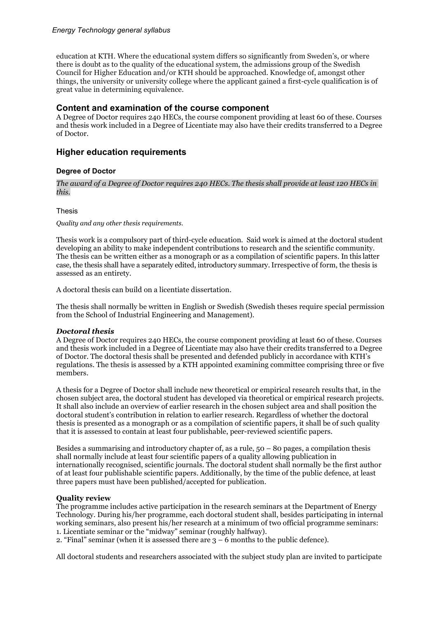education at KTH. Where the educational system differs so significantly from Sweden's, or where there is doubt as to the quality of the educational system, the admissions group of the Swedish Council for Higher Education and/or KTH should be approached. Knowledge of, amongst other things, the university or university college where the applicant gained a first-cycle qualification is of great value in determining equivalence.

## **Content and examination of the course component**

A Degree of Doctor requires 240 HECs, the course component providing at least 60 of these. Courses and thesis work included in a Degree of Licentiate may also have their credits transferred to a Degree of Doctor.

## **Higher education requirements**

#### **Degree of Doctor**

*The award of a Degree of Doctor requires 240 HECs. The thesis shall provide at least 120 HECs in this.*

Thesis

#### *Quality and any other thesis requirements.*

Thesis work is a compulsory part of third-cycle education. Said work is aimed at the doctoral student developing an ability to make independent contributions to research and the scientific community. The thesis can be written either as a monograph or as a compilation of scientific papers. In this latter case, the thesis shall have a separately edited, introductory summary.Irrespective of form, the thesis is assessed as an entirety.

A doctoral thesis can build on a licentiate dissertation.

The thesis shall normally be written in English or Swedish (Swedish theses require special permission from the School of Industrial Engineering and Management).

#### *Doctoral thesis*

A Degree of Doctor requires 240 HECs, the course component providing at least 60 of these. Courses and thesis work included in a Degree of Licentiate may also have their credits transferred to a Degree of Doctor. The doctoral thesis shall be presented and defended publicly in accordance with KTH's regulations. The thesis is assessed by a KTH appointed examining committee comprising three or five members.

A thesis for a Degree of Doctor shall include new theoretical or empirical research results that, in the chosen subject area, the doctoral student has developed via theoretical or empirical research projects. It shall also include an overview of earlier research in the chosen subject area and shall position the doctoral student's contribution in relation to earlier research. Regardless of whether the doctoral thesis is presented as a monograph or as a compilation of scientific papers, it shall be of such quality that it is assessed to contain at least four publishable, peer-reviewed scientific papers.

Besides a summarising and introductory chapter of, as a rule,  $50 - 80$  pages, a compilation thesis shall normally include at least four scientific papers of a quality allowing publication in internationally recognised, scientific journals. The doctoral student shall normally be the first author of at least four publishable scientific papers. Additionally, by the time of the public defence, at least three papers must have been published/accepted for publication.

#### **Quality review**

The programme includes active participation in the research seminars at the Department of Energy Technology. During his/her programme, each doctoral student shall, besides participating in internal working seminars, also present his/her research at a minimum of two official programme seminars: 1. Licentiate seminar or the "midway" seminar (roughly halfway).

2. "Final" seminar (when it is assessed there are  $3 - 6$  months to the public defence).

All doctoral students and researchers associated with the subject study plan are invited to participate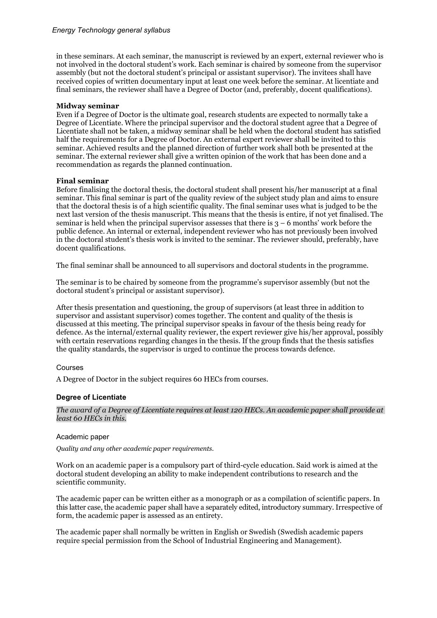in these seminars. At each seminar, the manuscript is reviewed by an expert, external reviewer who is not involved in the doctoral student's work. Each seminar is chaired by someone from the supervisor assembly (but not the doctoral student's principal or assistant supervisor). The invitees shall have received copies of written documentary input at least one week before the seminar. At licentiate and final seminars, the reviewer shall have a Degree of Doctor (and, preferably, docent qualifications).

#### **Midway seminar**

Even if a Degree of Doctor is the ultimate goal, research students are expected to normally take a Degree of Licentiate. Where the principal supervisor and the doctoral student agree that a Degree of Licentiate shall not be taken, a midway seminar shall be held when the doctoral student has satisfied half the requirements for a Degree of Doctor. An external expert reviewer shall be invited to this seminar. Achieved results and the planned direction of further work shall both be presented at the seminar. The external reviewer shall give a written opinion of the work that has been done and a recommendation as regards the planned continuation.

#### **Final seminar**

Before finalising the doctoral thesis, the doctoral student shall present his/her manuscript at a final seminar. This final seminar is part of the quality review of the subject study plan and aims to ensure that the doctoral thesis is of a high scientific quality. The final seminar uses what is judged to be the next last version of the thesis manuscript. This means that the thesis is entire, if not yet finalised. The seminar is held when the principal supervisor assesses that there is  $3 - 6$  months' work before the public defence. An internal or external, independent reviewer who has not previously been involved in the doctoral student's thesis work is invited to the seminar. The reviewer should, preferably, have docent qualifications.

The final seminar shall be announced to all supervisors and doctoral students in the programme.

The seminar is to be chaired by someone from the programme's supervisor assembly (but not the doctoral student's principal or assistant supervisor).

After thesis presentation and questioning, the group of supervisors (at least three in addition to supervisor and assistant supervisor) comes together. The content and quality of the thesis is discussed at this meeting. The principal supervisor speaks in favour of the thesis being ready for defence. As the internal/external quality reviewer, the expert reviewer give his/her approval, possibly with certain reservations regarding changes in the thesis. If the group finds that the thesis satisfies the quality standards, the supervisor is urged to continue the process towards defence.

#### Courses

A Degree of Doctor in the subject requires 60 HECs from courses.

#### **Degree of Licentiate**

*The award of a Degree of Licentiate requires at least 120 HECs. An academic paper shall provide at least 60 HECs in this.*

#### Academic paper

*Quality and any other academic paper requirements.*

Work on an academic paper is a compulsory part of third-cycle education. Said work is aimed at the doctoral student developing an ability to make independent contributions to research and the scientific community.

The academic paper can be written either as a monograph or as a compilation of scientific papers. In this latter case, the academic paper shall have a separately edited, introductory summary. Irrespective of form, the academic paper is assessed as an entirety.

The academic paper shall normally be written in English or Swedish (Swedish academic papers require special permission from the School of Industrial Engineering and Management).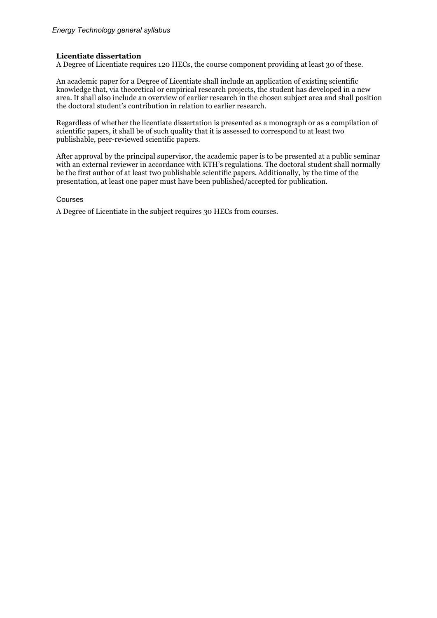#### **Licentiate dissertation**

A Degree of Licentiate requires 120 HECs, the course component providing at least 30 of these.

An academic paper for a Degree of Licentiate shall include an application of existing scientific knowledge that, via theoretical or empirical research projects, the student has developed in a new area. It shall also include an overview of earlier research in the chosen subject area and shall position the doctoral student's contribution in relation to earlier research.

Regardless of whether the licentiate dissertation is presented as a monograph or as a compilation of scientific papers, it shall be of such quality that it is assessed to correspond to at least two publishable, peer-reviewed scientific papers.

After approval by the principal supervisor, the academic paper is to be presented at a public seminar with an external reviewer in accordance with KTH's regulations. The doctoral student shall normally be the first author of at least two publishable scientific papers. Additionally, by the time of the presentation, at least one paper must have been published/accepted for publication.

#### Courses

A Degree of Licentiate in the subject requires 30 HECs from courses.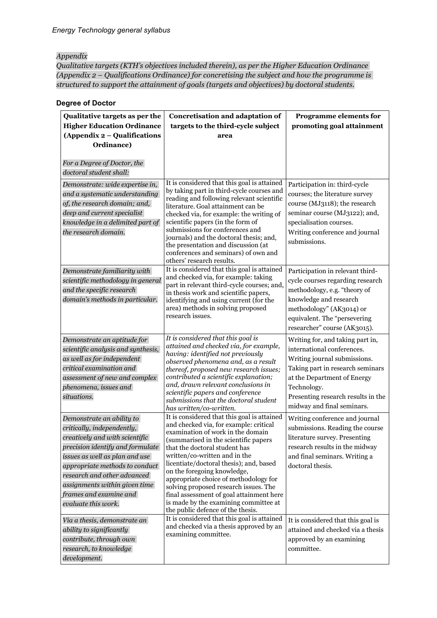#### *Appendix*

*Qualitative targets (KTH's objectives included therein), as per the Higher Education Ordinance (Appendix 2 – Qualifications Ordinance) for concretising the subject and how the programme is structured to support the attainment of goals (targets and objectives) by doctoral students.*

#### **Degree of Doctor**

| Qualitative targets as per the<br><b>Higher Education Ordinance</b>                                                                                                                                                                                                                                                | Concretisation and adaptation of<br>targets to the third-cycle subject                                                                                                                                                                                                                                                                                                                                                                                                                                                     | <b>Programme elements for</b><br>promoting goal attainment                                                                                                                                                                                           |
|--------------------------------------------------------------------------------------------------------------------------------------------------------------------------------------------------------------------------------------------------------------------------------------------------------------------|----------------------------------------------------------------------------------------------------------------------------------------------------------------------------------------------------------------------------------------------------------------------------------------------------------------------------------------------------------------------------------------------------------------------------------------------------------------------------------------------------------------------------|------------------------------------------------------------------------------------------------------------------------------------------------------------------------------------------------------------------------------------------------------|
| (Appendix 2 - Qualifications                                                                                                                                                                                                                                                                                       | area                                                                                                                                                                                                                                                                                                                                                                                                                                                                                                                       |                                                                                                                                                                                                                                                      |
| Ordinance)                                                                                                                                                                                                                                                                                                         |                                                                                                                                                                                                                                                                                                                                                                                                                                                                                                                            |                                                                                                                                                                                                                                                      |
| For a Degree of Doctor, the<br>doctoral student shall:                                                                                                                                                                                                                                                             |                                                                                                                                                                                                                                                                                                                                                                                                                                                                                                                            |                                                                                                                                                                                                                                                      |
| Demonstrate: wide expertise in,<br>and a systematic understanding<br>of, the research domain; and,<br>deep and current specialist<br>knowledge in a delimited part of<br>the research domain.                                                                                                                      | It is considered that this goal is attained<br>by taking part in third-cycle courses and<br>reading and following relevant scientific<br>literature. Goal attainment can be<br>checked via, for example: the writing of<br>scientific papers (in the form of<br>submissions for conferences and<br>journals) and the doctoral thesis; and,<br>the presentation and discussion (at<br>conferences and seminars) of own and<br>others' research results.                                                                     | Participation in: third-cycle<br>courses; the literature survey<br>course (MJ3118); the research<br>seminar course (MJ3122); and,<br>specialisation courses.<br>Writing conference and journal<br>submissions.                                       |
| Demonstrate familiarity with<br>scientific methodology in general<br>and the specific research<br>domain's methods in particular.                                                                                                                                                                                  | It is considered that this goal is attained<br>and checked via, for example: taking<br>part in relevant third-cycle courses; and,<br>in thesis work and scientific papers,<br>identifying and using current (for the<br>area) methods in solving proposed<br>research issues.                                                                                                                                                                                                                                              | Participation in relevant third-<br>cycle courses regarding research<br>methodology, e.g. "theory of<br>knowledge and research<br>methodology" (AK3014) or<br>equivalent. The "persevering<br>researcher" course (AK3015).                           |
| Demonstrate an aptitude for<br>scientific analysis and synthesis,<br>as well as for independent<br>critical examination and<br>assessment of new and complex<br>phenomena, issues and<br>situations.                                                                                                               | It is considered that this goal is<br>attained and checked via, for example,<br>having: identified not previously<br>observed phenomena and, as a result<br>thereof, proposed new research issues;<br>contributed a scientific explanation;<br>and, drawn relevant conclusions in<br>scientific papers and conference<br>submissions that the doctoral student<br>has written/co-written.                                                                                                                                  | Writing for, and taking part in,<br>international conferences.<br>Writing journal submissions.<br>Taking part in research seminars<br>at the Department of Energy<br>Technology.<br>Presenting research results in the<br>midway and final seminars. |
| Demonstrate an ability to<br>critically, independently,<br>creatively and with scientific<br>precision identify and formulate<br>issues as well as plan and use<br>appropriate methods to conduct<br>research and other advanced<br>assignments within given time<br>frames and examine and<br>evaluate this work. | It is considered that this goal is attained<br>and checked via, for example: critical<br>examination of work in the domain<br>(summarised in the scientific papers<br>that the doctoral student has<br>written/co-written and in the<br>licentiate/doctoral thesis); and, based<br>on the foregoing knowledge,<br>appropriate choice of methodology for<br>solving proposed research issues. The<br>final assessment of goal attainment here<br>is made by the examining committee at<br>the public defence of the thesis. | Writing conference and journal<br>submissions. Reading the course<br>literature survey. Presenting<br>research results in the midway<br>and final seminars. Writing a<br>doctoral thesis.                                                            |
| Via a thesis, demonstrate an<br>ability to significantly<br>contribute, through own<br>research, to knowledge<br>development.                                                                                                                                                                                      | It is considered that this goal is attained<br>and checked via a thesis approved by an<br>examining committee.                                                                                                                                                                                                                                                                                                                                                                                                             | It is considered that this goal is<br>attained and checked via a thesis<br>approved by an examining<br>committee.                                                                                                                                    |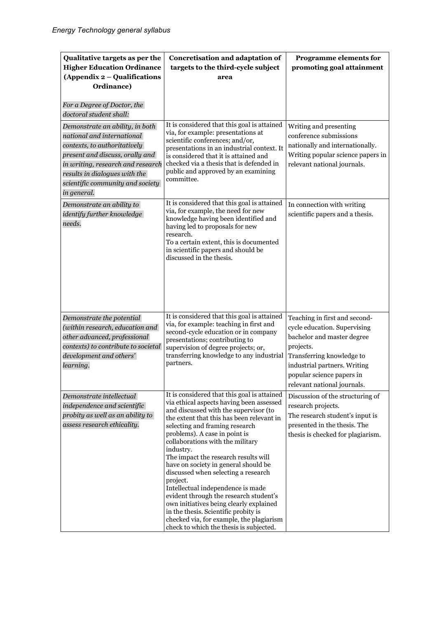| Qualitative targets as per the<br><b>Higher Education Ordinance</b><br>(Appendix 2 – Qualifications<br>Ordinance)                                                                                                                                         | Concretisation and adaptation of<br>targets to the third-cycle subject<br>area                                                                                                                                                                                                                                                                                                                                                                                                                                                                                                                                                                                                                | <b>Programme elements for</b><br>promoting goal attainment                                                                                                                                                                        |
|-----------------------------------------------------------------------------------------------------------------------------------------------------------------------------------------------------------------------------------------------------------|-----------------------------------------------------------------------------------------------------------------------------------------------------------------------------------------------------------------------------------------------------------------------------------------------------------------------------------------------------------------------------------------------------------------------------------------------------------------------------------------------------------------------------------------------------------------------------------------------------------------------------------------------------------------------------------------------|-----------------------------------------------------------------------------------------------------------------------------------------------------------------------------------------------------------------------------------|
| For a Degree of Doctor, the<br>doctoral student shall:                                                                                                                                                                                                    |                                                                                                                                                                                                                                                                                                                                                                                                                                                                                                                                                                                                                                                                                               |                                                                                                                                                                                                                                   |
| Demonstrate an ability, in both<br>national and international<br>contexts, to authoritatively<br>present and discuss, orally and<br>in writing, research and research<br>results in dialogues with the<br>scientific community and society<br>in general. | It is considered that this goal is attained<br>via, for example: presentations at<br>scientific conferences; and/or,<br>presentations in an industrial context. It<br>is considered that it is attained and<br>checked via a thesis that is defended in<br>public and approved by an examining<br>committee.                                                                                                                                                                                                                                                                                                                                                                                  | Writing and presenting<br>conference submissions<br>nationally and internationally.<br>Writing popular science papers in<br>relevant national journals.                                                                           |
| Demonstrate an ability to<br>identify further knowledge<br>needs.                                                                                                                                                                                         | It is considered that this goal is attained<br>via, for example, the need for new<br>knowledge having been identified and<br>having led to proposals for new<br>research.<br>To a certain extent, this is documented<br>in scientific papers and should be<br>discussed in the thesis.                                                                                                                                                                                                                                                                                                                                                                                                        | In connection with writing<br>scientific papers and a thesis.                                                                                                                                                                     |
| Demonstrate the potential<br>(within research, education and<br>other advanced, professional<br>contexts) to contribute to societal<br>development and others'<br>learning.                                                                               | It is considered that this goal is attained<br>via, for example: teaching in first and<br>second-cycle education or in company<br>presentations; contributing to<br>supervision of degree projects; or,<br>transferring knowledge to any industrial<br>partners.                                                                                                                                                                                                                                                                                                                                                                                                                              | Teaching in first and second-<br>cycle education. Supervising<br>bachelor and master degree<br>projects.<br>Transferring knowledge to<br>industrial partners. Writing<br>popular science papers in<br>relevant national journals. |
| Demonstrate intellectual<br>independence and scientific<br>probity as well as an ability to<br>assess research ethicality.                                                                                                                                | It is considered that this goal is attained<br>via ethical aspects having been assessed<br>and discussed with the supervisor (to<br>the extent that this has been relevant in<br>selecting and framing research<br>problems). A case in point is<br>collaborations with the military<br>industry.<br>The impact the research results will<br>have on society in general should be<br>discussed when selecting a research<br>project.<br>Intellectual independence is made<br>evident through the research student's<br>own initiatives being clearly explained<br>in the thesis. Scientific probity is<br>checked via, for example, the plagiarism<br>check to which the thesis is subjected. | Discussion of the structuring of<br>research projects.<br>The research student's input is<br>presented in the thesis. The<br>thesis is checked for plagiarism.                                                                    |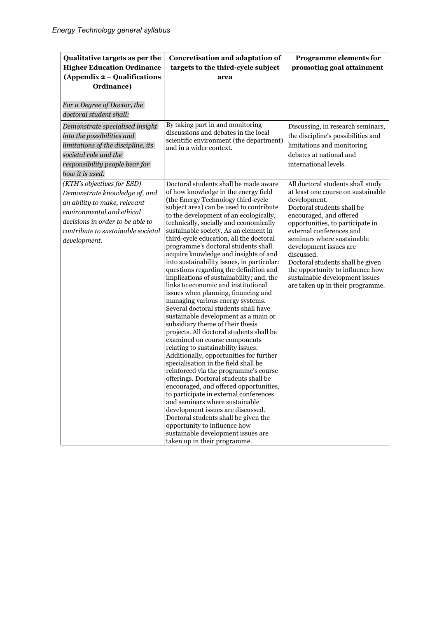| Qualitative targets as per the<br><b>Higher Education Ordinance</b><br>(Appendix 2 - Qualifications<br>Ordinance)                                                                                                  | Concretisation and adaptation of<br>targets to the third-cycle subject<br>area                                                                                                                                                                                                                                                                                                                                                                                                                                                                                                                                                                                                                                                                                                                                                                                                                                                                                                                                                                                                                                                                                                                                                                                                                                                                                                                    | Programme elements for<br>promoting goal attainment                                                                                                                                                                                                                                                                                                                                                                                  |
|--------------------------------------------------------------------------------------------------------------------------------------------------------------------------------------------------------------------|---------------------------------------------------------------------------------------------------------------------------------------------------------------------------------------------------------------------------------------------------------------------------------------------------------------------------------------------------------------------------------------------------------------------------------------------------------------------------------------------------------------------------------------------------------------------------------------------------------------------------------------------------------------------------------------------------------------------------------------------------------------------------------------------------------------------------------------------------------------------------------------------------------------------------------------------------------------------------------------------------------------------------------------------------------------------------------------------------------------------------------------------------------------------------------------------------------------------------------------------------------------------------------------------------------------------------------------------------------------------------------------------------|--------------------------------------------------------------------------------------------------------------------------------------------------------------------------------------------------------------------------------------------------------------------------------------------------------------------------------------------------------------------------------------------------------------------------------------|
| For a Degree of Doctor, the<br>doctoral student shall:                                                                                                                                                             |                                                                                                                                                                                                                                                                                                                                                                                                                                                                                                                                                                                                                                                                                                                                                                                                                                                                                                                                                                                                                                                                                                                                                                                                                                                                                                                                                                                                   |                                                                                                                                                                                                                                                                                                                                                                                                                                      |
| Demonstrate specialised insight<br>into the possibilities and<br>limitations of the discipline, its<br>societal role and the<br>responsibility people bear for<br>how it is used.                                  | By taking part in and monitoring<br>discussions and debates in the local<br>scientific environment (the department)<br>and in a wider context.                                                                                                                                                                                                                                                                                                                                                                                                                                                                                                                                                                                                                                                                                                                                                                                                                                                                                                                                                                                                                                                                                                                                                                                                                                                    | Discussing, in research seminars,<br>the discipline's possibilities and<br>limitations and monitoring<br>debates at national and<br>international levels.                                                                                                                                                                                                                                                                            |
| (KTH's objectives for ESD)<br>Demonstrate knowledge of, and<br>an ability to make, relevant<br>environmental and ethical<br>decisions in order to be able to<br>contribute to sustainable societal<br>development. | Doctoral students shall be made aware<br>of how knowledge in the energy field<br>(the Energy Technology third-cycle<br>subject area) can be used to contribute<br>to the development of an ecologically,<br>technically, socially and economically<br>sustainable society. As an element in<br>third-cycle education, all the doctoral<br>programme's doctoral students shall<br>acquire knowledge and insights of and<br>into sustainability issues, in particular:<br>questions regarding the definition and<br>implications of sustainability; and, the<br>links to economic and institutional<br>issues when planning, financing and<br>managing various energy systems.<br>Several doctoral students shall have<br>sustainable development as a main or<br>subsidiary theme of their thesis<br>projects. All doctoral students shall be<br>examined on course components<br>relating to sustainability issues.<br>Additionally, opportunities for further<br>specialisation in the field shall be<br>reinforced via the programme's course<br>offerings. Doctoral students shall be<br>encouraged, and offered opportunities,<br>to participate in external conferences<br>and seminars where sustainable<br>development issues are discussed.<br>Doctoral students shall be given the<br>opportunity to influence how<br>sustainable development issues are<br>taken up in their programme. | All doctoral students shall study<br>at least one course on sustainable<br>development.<br>Doctoral students shall be<br>encouraged, and offered<br>opportunities, to participate in<br>external conferences and<br>seminars where sustainable<br>development issues are<br>discussed.<br>Doctoral students shall be given<br>the opportunity to influence how<br>sustainable development issues<br>are taken up in their programme. |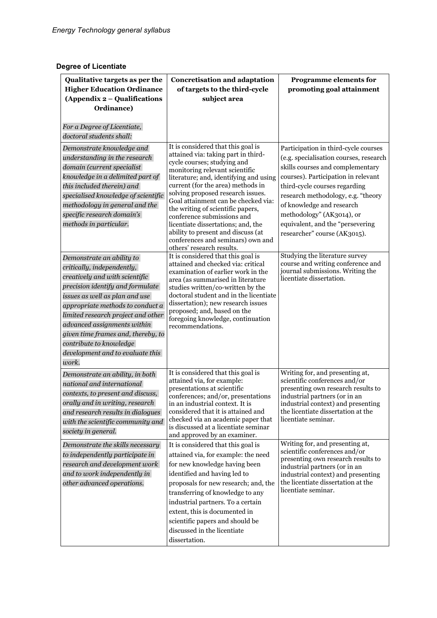# **Degree of Licentiate**

| Qualitative targets as per the<br><b>Higher Education Ordinance</b><br>(Appendix 2 – Qualifications<br>Ordinance)                                                                                                                                                                                                                                                                      | <b>Concretisation and adaptation</b><br>of targets to the third-cycle<br>subject area                                                                                                                                                                                                                                                                                                                                                                                                                                  | Programme elements for<br>promoting goal attainment                                                                                                                                                                                                                                                                                                            |
|----------------------------------------------------------------------------------------------------------------------------------------------------------------------------------------------------------------------------------------------------------------------------------------------------------------------------------------------------------------------------------------|------------------------------------------------------------------------------------------------------------------------------------------------------------------------------------------------------------------------------------------------------------------------------------------------------------------------------------------------------------------------------------------------------------------------------------------------------------------------------------------------------------------------|----------------------------------------------------------------------------------------------------------------------------------------------------------------------------------------------------------------------------------------------------------------------------------------------------------------------------------------------------------------|
| For a Degree of Licentiate,<br>doctoral students shall:<br>Demonstrate knowledge and<br>understanding in the research<br>domain (current specialist<br>knowledge in a delimited part of<br>this included therein) and<br>specialised knowledge of scientific<br>methodology in general and the<br>specific research domain's<br>methods in particular.                                 | It is considered that this goal is<br>attained via: taking part in third-<br>cycle courses; studying and<br>monitoring relevant scientific<br>literature; and, identifying and using<br>current (for the area) methods in<br>solving proposed research issues.<br>Goal attainment can be checked via:<br>the writing of scientific papers,<br>conference submissions and<br>licentiate dissertations; and, the<br>ability to present and discuss (at<br>conferences and seminars) own and<br>others' research results. | Participation in third-cycle courses<br>(e.g. specialisation courses, research<br>skills courses and complementary<br>courses). Participation in relevant<br>third-cycle courses regarding<br>research methodology, e.g. "theory<br>of knowledge and research<br>methodology" (AK3014), or<br>equivalent, and the "persevering<br>researcher" course (AK3015). |
| Demonstrate an ability to<br>critically, independently,<br>creatively and with scientific<br>precision identify and formulate<br>issues as well as plan and use<br>appropriate methods to conduct a<br>limited research project and other<br>advanced assignments within<br>given time frames and, thereby, to<br>contribute to knowledge<br>development and to evaluate this<br>work. | It is considered that this goal is<br>attained and checked via: critical<br>examination of earlier work in the<br>area (as summarised in literature<br>studies written/co-written by the<br>doctoral student and in the licentiate<br>dissertation); new research issues<br>proposed; and, based on the<br>foregoing knowledge, continuation<br>recommendations.                                                                                                                                                       | Studying the literature survey<br>course and writing conference and<br>journal submissions. Writing the<br>licentiate dissertation.                                                                                                                                                                                                                            |
| Demonstrate an ability, in both<br>national and international<br>contexts, to present and discuss,<br>orally and in writing, research<br>and research results in dialogues<br>with the scientific community and<br>society in general.                                                                                                                                                 | It is considered that this goal is<br>attained via, for example:<br>presentations at scientific<br>conferences; and/or, presentations<br>in an industrial context. It is<br>considered that it is attained and<br>checked via an academic paper that<br>is discussed at a licentiate seminar<br>and approved by an examiner.                                                                                                                                                                                           | Writing for, and presenting at,<br>scientific conferences and/or<br>presenting own research results to<br>industrial partners (or in an<br>industrial context) and presenting<br>the licentiate dissertation at the<br>licentiate seminar.                                                                                                                     |
| Demonstrate the skills necessary<br>to independently participate in<br>research and development work<br>and to work independently in<br>other advanced operations.                                                                                                                                                                                                                     | It is considered that this goal is<br>attained via, for example: the need<br>for new knowledge having been<br>identified and having led to<br>proposals for new research; and, the<br>transferring of knowledge to any<br>industrial partners. To a certain<br>extent, this is documented in<br>scientific papers and should be<br>discussed in the licentiate<br>dissertation.                                                                                                                                        | Writing for, and presenting at,<br>scientific conferences and/or<br>presenting own research results to<br>industrial partners (or in an<br>industrial context) and presenting<br>the licentiate dissertation at the<br>licentiate seminar.                                                                                                                     |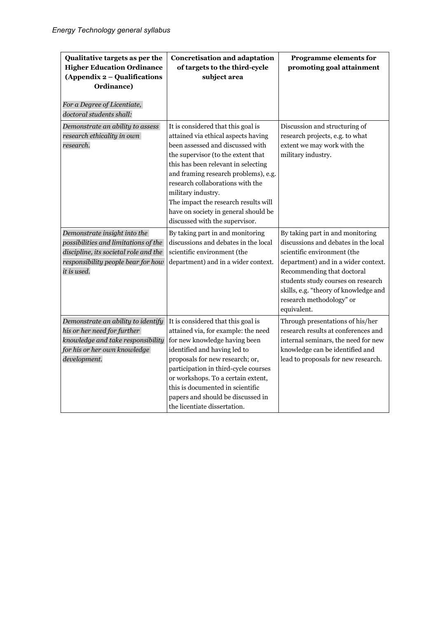| Qualitative targets as per the<br><b>Higher Education Ordinance</b><br>(Appendix 2 – Qualifications<br>Ordinance)<br>For a Degree of Licentiate,<br>doctoral students shall: | <b>Concretisation and adaptation</b><br>of targets to the third-cycle<br>subject area                                                                                                                                                                                                                                                                                                                          | Programme elements for<br>promoting goal attainment                                                                                                                                                                                                                                                    |
|------------------------------------------------------------------------------------------------------------------------------------------------------------------------------|----------------------------------------------------------------------------------------------------------------------------------------------------------------------------------------------------------------------------------------------------------------------------------------------------------------------------------------------------------------------------------------------------------------|--------------------------------------------------------------------------------------------------------------------------------------------------------------------------------------------------------------------------------------------------------------------------------------------------------|
| Demonstrate an ability to assess<br>research ethicality in own<br>research.                                                                                                  | It is considered that this goal is<br>attained via ethical aspects having<br>been assessed and discussed with<br>the supervisor (to the extent that<br>this has been relevant in selecting<br>and framing research problems), e.g.<br>research collaborations with the<br>military industry.<br>The impact the research results will<br>have on society in general should be<br>discussed with the supervisor. | Discussion and structuring of<br>research projects, e.g. to what<br>extent we may work with the<br>military industry.                                                                                                                                                                                  |
| Demonstrate insight into the<br>possibilities and limitations of the<br>discipline, its societal role and the<br>responsibility people bear for how<br>it is used.           | By taking part in and monitoring<br>discussions and debates in the local<br>scientific environment (the<br>department) and in a wider context.                                                                                                                                                                                                                                                                 | By taking part in and monitoring<br>discussions and debates in the local<br>scientific environment (the<br>department) and in a wider context.<br>Recommending that doctoral<br>students study courses on research<br>skills, e.g. "theory of knowledge and<br>research methodology" or<br>equivalent. |
| Demonstrate an ability to identify<br>his or her need for further<br>knowledge and take responsibility<br>for his or her own knowledge<br>development.                       | It is considered that this goal is<br>attained via, for example: the need<br>for new knowledge having been<br>identified and having led to<br>proposals for new research; or,<br>participation in third-cycle courses<br>or workshops. To a certain extent,<br>this is documented in scientific<br>papers and should be discussed in<br>the licentiate dissertation.                                           | Through presentations of his/her<br>research results at conferences and<br>internal seminars, the need for new<br>knowledge can be identified and<br>lead to proposals for new research.                                                                                                               |